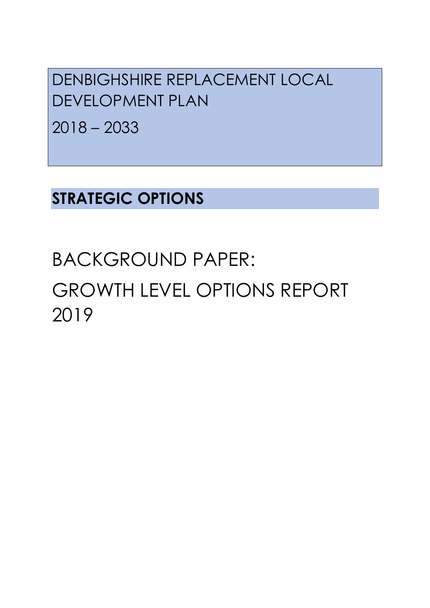DENBIGHSHIRE REPLACEMENT LOCAL DEVELOPMENT PLAN

2018 – 2033

**STRATEGIC OPTIONS**

# BACKGROUND PAPER: GROWTH LEVEL OPTIONS REPORT 2019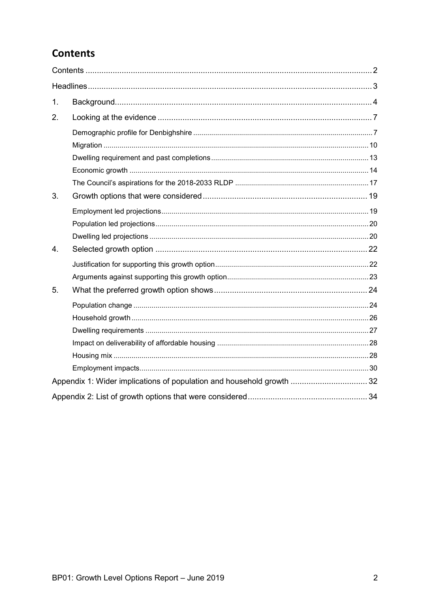# <span id="page-1-0"></span>**Contents**

| 1.             |                                                                       |  |
|----------------|-----------------------------------------------------------------------|--|
| 2.             |                                                                       |  |
|                |                                                                       |  |
|                |                                                                       |  |
|                |                                                                       |  |
|                |                                                                       |  |
|                |                                                                       |  |
| 3.             |                                                                       |  |
|                |                                                                       |  |
|                |                                                                       |  |
|                |                                                                       |  |
| $\mathbf{4}$ . |                                                                       |  |
|                |                                                                       |  |
|                |                                                                       |  |
| 5.             |                                                                       |  |
|                |                                                                       |  |
|                |                                                                       |  |
|                |                                                                       |  |
|                |                                                                       |  |
|                |                                                                       |  |
|                |                                                                       |  |
|                | Appendix 1: Wider implications of population and household growth  32 |  |
|                |                                                                       |  |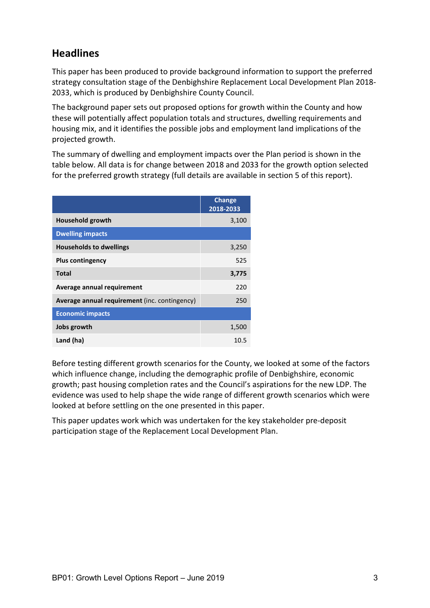# <span id="page-2-0"></span>**Headlines**

This paper has been produced to provide background information to support the preferred strategy consultation stage of the Denbighshire Replacement Local Development Plan 2018- 2033, which is produced by Denbighshire County Council.

The background paper sets out proposed options for growth within the County and how these will potentially affect population totals and structures, dwelling requirements and housing mix, and it identifies the possible jobs and employment land implications of the projected growth.

The summary of dwelling and employment impacts over the Plan period is shown in the table below. All data is for change between 2018 and 2033 for the growth option selected for the preferred growth strategy (full details are available in section 5 of this report).

|                                               | <b>Change</b><br>2018-2033 |
|-----------------------------------------------|----------------------------|
| <b>Household growth</b>                       | 3,100                      |
| <b>Dwelling impacts</b>                       |                            |
| <b>Households to dwellings</b>                | 3,250                      |
| <b>Plus contingency</b>                       | 525                        |
| <b>Total</b>                                  | 3,775                      |
| Average annual requirement                    | 220                        |
| Average annual requirement (inc. contingency) | 250                        |
| <b>Economic impacts</b>                       |                            |
| Jobs growth                                   | 1,500                      |
| Land (ha)                                     | 10.5                       |

Before testing different growth scenarios for the County, we looked at some of the factors which influence change, including the demographic profile of Denbighshire, economic growth; past housing completion rates and the Council's aspirations for the new LDP. The evidence was used to help shape the wide range of different growth scenarios which were looked at before settling on the one presented in this paper.

This paper updates work which was undertaken for the key stakeholder pre-deposit participation stage of the Replacement Local Development Plan.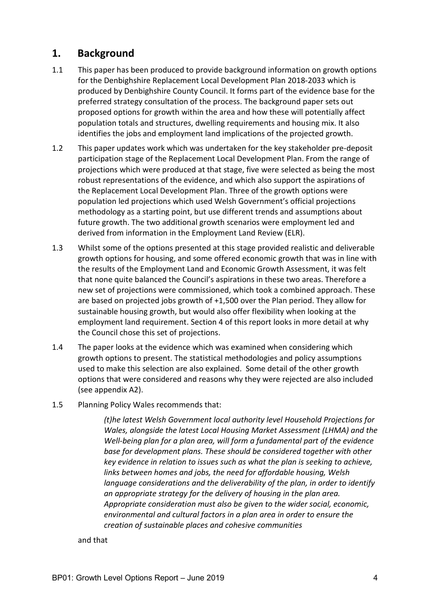## <span id="page-3-0"></span>**1. Background**

- 1.1 This paper has been produced to provide background information on growth options for the Denbighshire Replacement Local Development Plan 2018-2033 which is produced by Denbighshire County Council. It forms part of the evidence base for the preferred strategy consultation of the process. The background paper sets out proposed options for growth within the area and how these will potentially affect population totals and structures, dwelling requirements and housing mix. It also identifies the jobs and employment land implications of the projected growth.
- 1.2 This paper updates work which was undertaken for the key stakeholder pre-deposit participation stage of the Replacement Local Development Plan. From the range of projections which were produced at that stage, five were selected as being the most robust representations of the evidence, and which also support the aspirations of the Replacement Local Development Plan. Three of the growth options were population led projections which used Welsh Government's official projections methodology as a starting point, but use different trends and assumptions about future growth. The two additional growth scenarios were employment led and derived from information in the Employment Land Review (ELR).
- 1.3 Whilst some of the options presented at this stage provided realistic and deliverable growth options for housing, and some offered economic growth that was in line with the results of the Employment Land and Economic Growth Assessment, it was felt that none quite balanced the Council's aspirations in these two areas. Therefore a new set of projections were commissioned, which took a combined approach. These are based on projected jobs growth of +1,500 over the Plan period. They allow for sustainable housing growth, but would also offer flexibility when looking at the employment land requirement. Section 4 of this report looks in more detail at why the Council chose this set of projections.
- 1.4 The paper looks at the evidence which was examined when considering which growth options to present. The statistical methodologies and policy assumptions used to make this selection are also explained. Some detail of the other growth options that were considered and reasons why they were rejected are also included (see appendix A2).
- 1.5 Planning Policy Wales recommends that:

*(t)he latest Welsh Government local authority level Household Projections for Wales, alongside the latest Local Housing Market Assessment (LHMA) and the Well-being plan for a plan area, will form a fundamental part of the evidence base for development plans. These should be considered together with other key evidence in relation to issues such as what the plan is seeking to achieve, links between homes and jobs, the need for affordable housing, Welsh language considerations and the deliverability of the plan, in order to identify an appropriate strategy for the delivery of housing in the plan area. Appropriate consideration must also be given to the wider social, economic, environmental and cultural factors in a plan area in order to ensure the creation of sustainable places and cohesive communities*

#### and that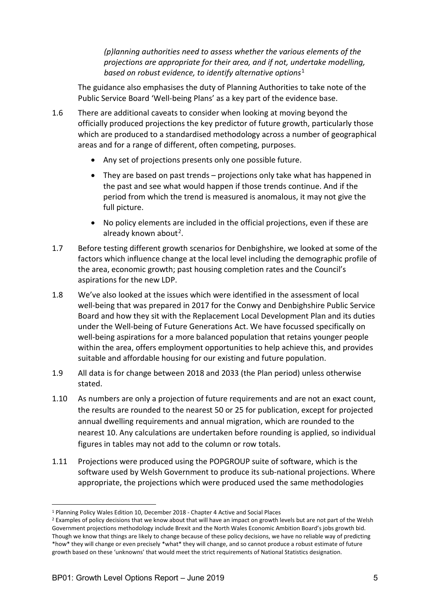*(p)lanning authorities need to assess whether the various elements of the projections are appropriate for their area, and if not, undertake modelling, based on robust evidence, to identify alternative options*[1](#page-4-0)

The guidance also emphasises the duty of Planning Authorities to take note of the Public Service Board 'Well-being Plans' as a key part of the evidence base.

- 1.6 There are additional caveats to consider when looking at moving beyond the officially produced projections the key predictor of future growth, particularly those which are produced to a standardised methodology across a number of geographical areas and for a range of different, often competing, purposes.
	- Any set of projections presents only one possible future.
	- They are based on past trends projections only take what has happened in the past and see what would happen if those trends continue. And if the period from which the trend is measured is anomalous, it may not give the full picture.
	- No policy elements are included in the official projections, even if these are already known about<sup>2</sup>.
- 1.7 Before testing different growth scenarios for Denbighshire, we looked at some of the factors which influence change at the local level including the demographic profile of the area, economic growth; past housing completion rates and the Council's aspirations for the new LDP.
- 1.8 We've also looked at the issues which were identified in the assessment of local well-being that was prepared in 2017 for the Conwy and Denbighshire Public Service Board and how they sit with the Replacement Local Development Plan and its duties under the Well-being of Future Generations Act. We have focussed specifically on well-being aspirations for a more balanced population that retains younger people within the area, offers employment opportunities to help achieve this, and provides suitable and affordable housing for our existing and future population.
- 1.9 All data is for change between 2018 and 2033 (the Plan period) unless otherwise stated.
- 1.10 As numbers are only a projection of future requirements and are not an exact count, the results are rounded to the nearest 50 or 25 for publication, except for projected annual dwelling requirements and annual migration, which are rounded to the nearest 10. Any calculations are undertaken before rounding is applied, so individual figures in tables may not add to the column or row totals.
- 1.11 Projections were produced using the POPGROUP suite of software, which is the software used by Welsh Government to produce its sub-national projections. Where appropriate, the projections which were produced used the same methodologies

<span id="page-4-0"></span> <sup>1</sup> Planning Policy Wales Edition 10, December 2018 - Chapter 4 Active and Social Places

<span id="page-4-1"></span><sup>&</sup>lt;sup>2</sup> Examples of policy decisions that we know about that will have an impact on growth levels but are not part of the Welsh Government projections methodology include Brexit and the North Wales Economic Ambition Board's jobs growth bid. Though we know that things are likely to change because of these policy decisions, we have no reliable way of predicting \*how\* they will change or even precisely \*what\* they will change, and so cannot produce a robust estimate of future growth based on these 'unknowns' that would meet the strict requirements of National Statistics designation.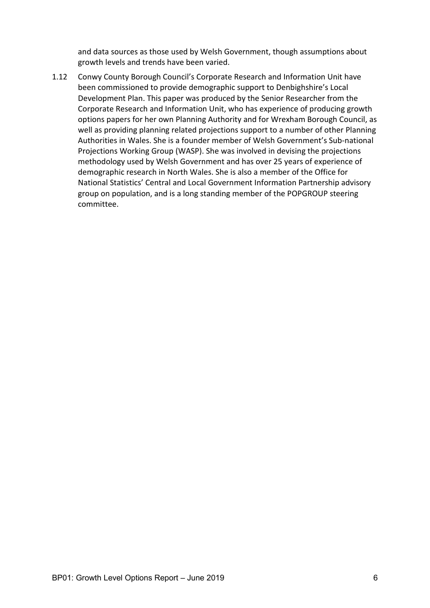and data sources as those used by Welsh Government, though assumptions about growth levels and trends have been varied.

1.12 Conwy County Borough Council's Corporate Research and Information Unit have been commissioned to provide demographic support to Denbighshire's Local Development Plan. This paper was produced by the Senior Researcher from the Corporate Research and Information Unit, who has experience of producing growth options papers for her own Planning Authority and for Wrexham Borough Council, as well as providing planning related projections support to a number of other Planning Authorities in Wales. She is a founder member of Welsh Government's Sub-national Projections Working Group (WASP). She was involved in devising the projections methodology used by Welsh Government and has over 25 years of experience of demographic research in North Wales. She is also a member of the Office for National Statistics' Central and Local Government Information Partnership advisory group on population, and is a long standing member of the POPGROUP steering committee.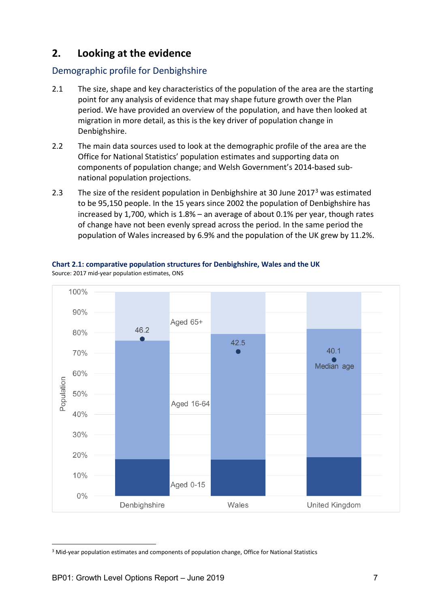# <span id="page-6-0"></span>**2. Looking at the evidence**

## <span id="page-6-1"></span>Demographic profile for Denbighshire

- 2.1 The size, shape and key characteristics of the population of the area are the starting point for any analysis of evidence that may shape future growth over the Plan period. We have provided an overview of the population, and have then looked at migration in more detail, as this is the key driver of population change in Denbighshire.
- 2.2 The main data sources used to look at the demographic profile of the area are the Office for National Statistics' population estimates and supporting data on components of population change; and Welsh Government's 2014-based subnational population projections.
- 2.[3](#page-6-2) The size of the resident population in Denbighshire at 30 June 2017<sup>3</sup> was estimated to be 95,150 people. In the 15 years since 2002 the population of Denbighshire has increased by 1,700, which is 1.8% – an average of about 0.1% per year, though rates of change have not been evenly spread across the period. In the same period the population of Wales increased by 6.9% and the population of the UK grew by 11.2%.



**Chart 2.1: comparative population structures for Denbighshire, Wales and the UK** Source: 2017 mid-year population estimates, ONS

<span id="page-6-2"></span><sup>&</sup>lt;sup>3</sup> Mid-year population estimates and components of population change, Office for National Statistics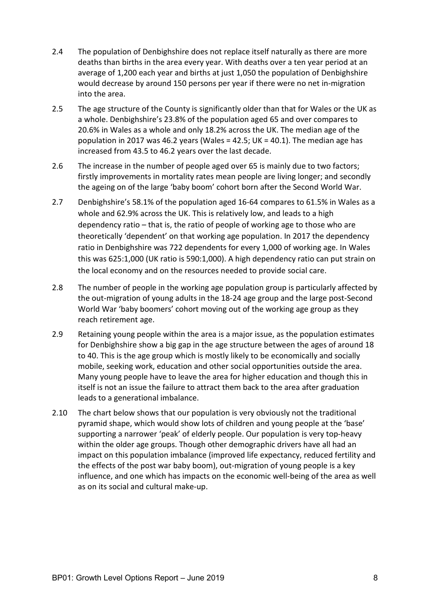- 2.4 The population of Denbighshire does not replace itself naturally as there are more deaths than births in the area every year. With deaths over a ten year period at an average of 1,200 each year and births at just 1,050 the population of Denbighshire would decrease by around 150 persons per year if there were no net in-migration into the area.
- 2.5 The age structure of the County is significantly older than that for Wales or the UK as a whole. Denbighshire's 23.8% of the population aged 65 and over compares to 20.6% in Wales as a whole and only 18.2% across the UK. The median age of the population in 2017 was 46.2 years (Wales = 42.5;  $UK = 40.1$ ). The median age has increased from 43.5 to 46.2 years over the last decade.
- 2.6 The increase in the number of people aged over 65 is mainly due to two factors; firstly improvements in mortality rates mean people are living longer; and secondly the ageing on of the large 'baby boom' cohort born after the Second World War.
- 2.7 Denbighshire's 58.1% of the population aged 16-64 compares to 61.5% in Wales as a whole and 62.9% across the UK. This is relatively low, and leads to a high dependency ratio – that is, the ratio of people of working age to those who are theoretically 'dependent' on that working age population. In 2017 the dependency ratio in Denbighshire was 722 dependents for every 1,000 of working age. In Wales this was 625:1,000 (UK ratio is 590:1,000). A high dependency ratio can put strain on the local economy and on the resources needed to provide social care.
- 2.8 The number of people in the working age population group is particularly affected by the out-migration of young adults in the 18-24 age group and the large post-Second World War 'baby boomers' cohort moving out of the working age group as they reach retirement age.
- 2.9 Retaining young people within the area is a major issue, as the population estimates for Denbighshire show a big gap in the age structure between the ages of around 18 to 40. This is the age group which is mostly likely to be economically and socially mobile, seeking work, education and other social opportunities outside the area. Many young people have to leave the area for higher education and though this in itself is not an issue the failure to attract them back to the area after graduation leads to a generational imbalance.
- 2.10 The chart below shows that our population is very obviously not the traditional pyramid shape, which would show lots of children and young people at the 'base' supporting a narrower 'peak' of elderly people. Our population is very top-heavy within the older age groups. Though other demographic drivers have all had an impact on this population imbalance (improved life expectancy, reduced fertility and the effects of the post war baby boom), out-migration of young people is a key influence, and one which has impacts on the economic well-being of the area as well as on its social and cultural make-up.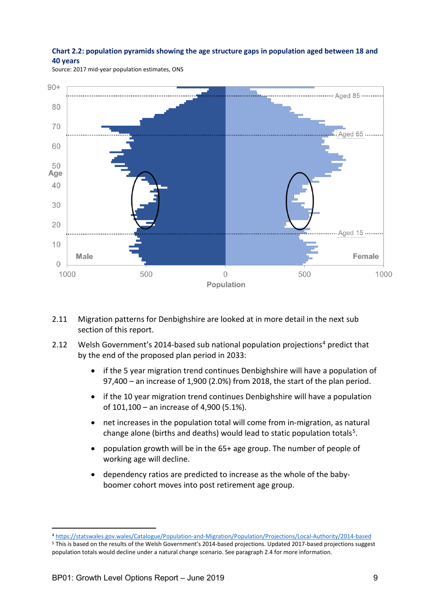#### **Chart 2.2: population pyramids showing the age structure gaps in population aged between 18 and 40 years**

Source: 2017 mid-year population estimates, ONS



- 2.11 Migration patterns for Denbighshire are looked at in more detail in the next sub section of this report.
- 2.12 Welsh Government's 201[4](#page-8-0)-based sub national population projections<sup>4</sup> predict that by the end of the proposed plan period in 2033:
	- if the 5 year migration trend continues Denbighshire will have a population of 97,400 – an increase of 1,900 (2.0%) from 2018, the start of the plan period.
	- if the 10 year migration trend continues Denbighshire will have a population of 101,100 – an increase of 4,900 (5.1%).
	- net increases in the population total will come from in-migration, as natural change alone (births and deaths) would lead to static population totals<sup>[5](#page-8-1)</sup>.
	- population growth will be in the 65+ age group. The number of people of working age will decline.
	- dependency ratios are predicted to increase as the whole of the babyboomer cohort moves into post retirement age group.

<span id="page-8-0"></span> <sup>4</sup> <https://statswales.gov.wales/Catalogue/Population-and-Migration/Population/Projections/Local-Authority/2014-based>

<span id="page-8-1"></span><sup>5</sup> This is based on the results of the Welsh Government's 2014-based projections. Updated 2017-based projections suggest population totals would decline under a natural change scenario. See paragraph 2.4 for more information.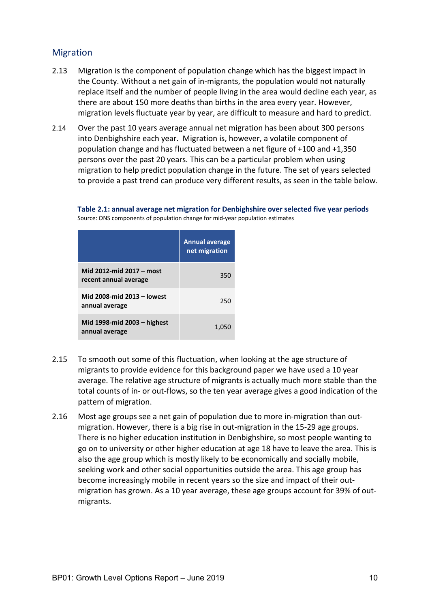## <span id="page-9-0"></span>Migration

- 2.13 Migration is the component of population change which has the biggest impact in the County. Without a net gain of in-migrants, the population would not naturally replace itself and the number of people living in the area would decline each year, as there are about 150 more deaths than births in the area every year. However, migration levels fluctuate year by year, are difficult to measure and hard to predict.
- 2.14 Over the past 10 years average annual net migration has been about 300 persons into Denbighshire each year. Migration is, however, a volatile component of population change and has fluctuated between a net figure of +100 and +1,350 persons over the past 20 years. This can be a particular problem when using migration to help predict population change in the future. The set of years selected to provide a past trend can produce very different results, as seen in the table below.

**Table 2.1: annual average net migration for Denbighshire over selected five year periods** Source: ONS components of population change for mid-year population estimates

|                                                   | <b>Annual average</b><br>net migration |
|---------------------------------------------------|----------------------------------------|
| Mid 2012-mid 2017 – most<br>recent annual average | 350                                    |
| Mid 2008-mid 2013 - lowest<br>annual average      | 250                                    |
| Mid 1998-mid 2003 – highest<br>annual average     | 1,050                                  |

- 2.15 To smooth out some of this fluctuation, when looking at the age structure of migrants to provide evidence for this background paper we have used a 10 year average. The relative age structure of migrants is actually much more stable than the total counts of in- or out-flows, so the ten year average gives a good indication of the pattern of migration.
- 2.16 Most age groups see a net gain of population due to more in-migration than outmigration. However, there is a big rise in out-migration in the 15-29 age groups. There is no higher education institution in Denbighshire, so most people wanting to go on to university or other higher education at age 18 have to leave the area. This is also the age group which is mostly likely to be economically and socially mobile, seeking work and other social opportunities outside the area. This age group has become increasingly mobile in recent years so the size and impact of their outmigration has grown. As a 10 year average, these age groups account for 39% of outmigrants.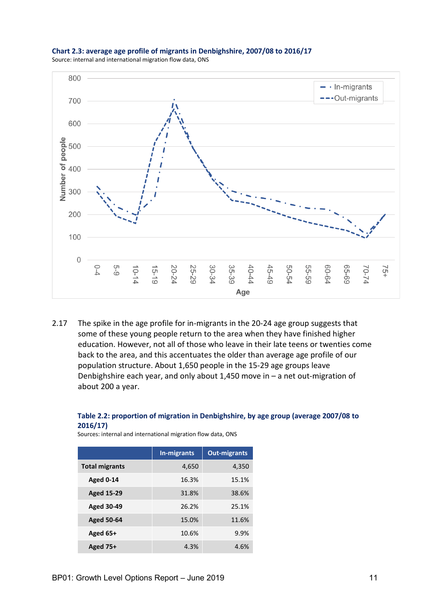

#### **Chart 2.3: average age profile of migrants in Denbighshire, 2007/08 to 2016/17** Source: internal and international migration flow data, ONS

2.17 The spike in the age profile for in-migrants in the 20-24 age group suggests that some of these young people return to the area when they have finished higher education. However, not all of those who leave in their late teens or twenties come back to the area, and this accentuates the older than average age profile of our population structure. About 1,650 people in the 15-29 age groups leave Denbighshire each year, and only about 1,450 move in – a net out-migration of about 200 a year.

#### **Table 2.2: proportion of migration in Denbighshire, by age group (average 2007/08 to 2016/17)**

Sources: internal and international migration flow data, ONS

|                       | In-migrants | <b>Out-migrants</b> |
|-----------------------|-------------|---------------------|
| <b>Total migrants</b> | 4,650       | 4,350               |
| <b>Aged 0-14</b>      | 16.3%       | 15.1%               |
| <b>Aged 15-29</b>     | 31.8%       | 38.6%               |
| <b>Aged 30-49</b>     | 26.2%       | 25.1%               |
| <b>Aged 50-64</b>     | 15.0%       | 11.6%               |
| Aged 65+              | 10.6%       | 9.9%                |
| <b>Aged 75+</b>       | 4.3%        | 4.6%                |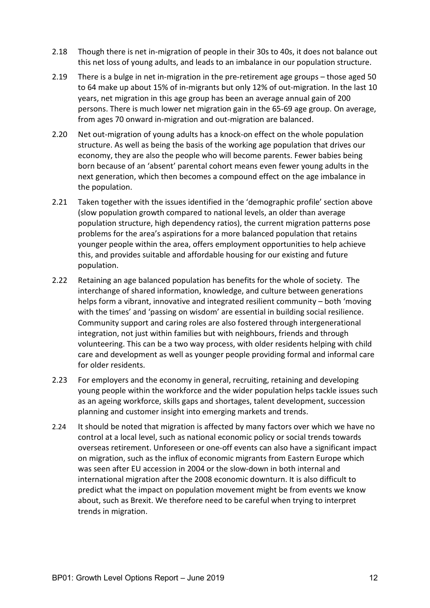- 2.18 Though there is net in-migration of people in their 30s to 40s, it does not balance out this net loss of young adults, and leads to an imbalance in our population structure.
- 2.19 There is a bulge in net in-migration in the pre-retirement age groups those aged 50 to 64 make up about 15% of in-migrants but only 12% of out-migration. In the last 10 years, net migration in this age group has been an average annual gain of 200 persons. There is much lower net migration gain in the 65-69 age group. On average, from ages 70 onward in-migration and out-migration are balanced.
- 2.20 Net out-migration of young adults has a knock-on effect on the whole population structure. As well as being the basis of the working age population that drives our economy, they are also the people who will become parents. Fewer babies being born because of an 'absent' parental cohort means even fewer young adults in the next generation, which then becomes a compound effect on the age imbalance in the population.
- 2.21 Taken together with the issues identified in the 'demographic profile' section above (slow population growth compared to national levels, an older than average population structure, high dependency ratios), the current migration patterns pose problems for the area's aspirations for a more balanced population that retains younger people within the area, offers employment opportunities to help achieve this, and provides suitable and affordable housing for our existing and future population.
- 2.22 Retaining an age balanced population has benefits for the whole of society. The interchange of shared information, knowledge, and culture between generations helps form a vibrant, innovative and integrated resilient community – both 'moving with the times' and 'passing on wisdom' are essential in building social resilience. Community support and caring roles are also fostered through intergenerational integration, not just within families but with neighbours, friends and through volunteering. This can be a two way process, with older residents helping with child care and development as well as younger people providing formal and informal care for older residents.
- 2.23 For employers and the economy in general, recruiting, retaining and developing young people within the workforce and the wider population helps tackle issues such as an ageing workforce, skills gaps and shortages, talent development, succession planning and customer insight into emerging markets and trends.
- 2.24 It should be noted that migration is affected by many factors over which we have no control at a local level, such as national economic policy or social trends towards overseas retirement. Unforeseen or one-off events can also have a significant impact on migration, such as the influx of economic migrants from Eastern Europe which was seen after EU accession in 2004 or the slow-down in both internal and international migration after the 2008 economic downturn. It is also difficult to predict what the impact on population movement might be from events we know about, such as Brexit. We therefore need to be careful when trying to interpret trends in migration.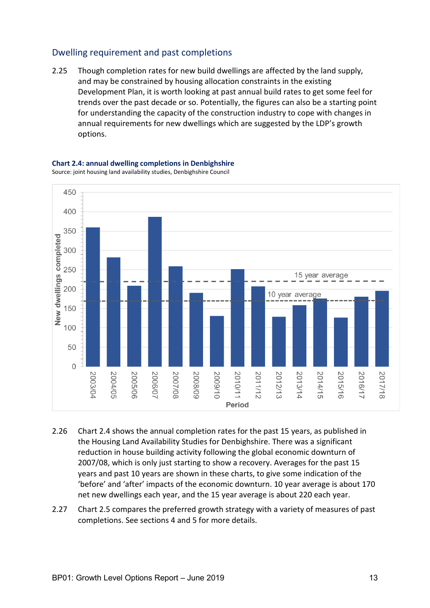## <span id="page-12-0"></span>Dwelling requirement and past completions

2.25 Though completion rates for new build dwellings are affected by the land supply, and may be constrained by housing allocation constraints in the existing Development Plan, it is worth looking at past annual build rates to get some feel for trends over the past decade or so. Potentially, the figures can also be a starting point for understanding the capacity of the construction industry to cope with changes in annual requirements for new dwellings which are suggested by the LDP's growth options.



**Chart 2.4: annual dwelling completions in Denbighshire** Source: joint housing land availability studies, Denbighshire Council

- 2.26 Chart 2.4 shows the annual completion rates for the past 15 years, as published in the Housing Land Availability Studies for Denbighshire. There was a significant reduction in house building activity following the global economic downturn of 2007/08, which is only just starting to show a recovery. Averages for the past 15 years and past 10 years are shown in these charts, to give some indication of the 'before' and 'after' impacts of the economic downturn. 10 year average is about 170 net new dwellings each year, and the 15 year average is about 220 each year.
- 2.27 Chart 2.5 compares the preferred growth strategy with a variety of measures of past completions. See sections 4 and 5 for more details.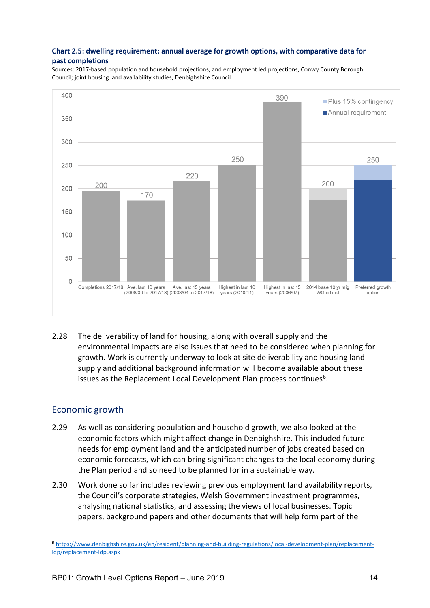#### **Chart 2.5: dwelling requirement: annual average for growth options, with comparative data for past completions**

Sources: 2017-based population and household projections, and employment led projections, Conwy County Borough Council; joint housing land availability studies, Denbighshire Council



2.28 The deliverability of land for housing, along with overall supply and the environmental impacts are also issues that need to be considered when planning for growth. Work is currently underway to look at site deliverability and housing land supply and additional background information will become available about these issues as the Replacement Local Development Plan process continues<sup>[6](#page-13-1)</sup>.

## <span id="page-13-0"></span>Economic growth

 $\overline{\phantom{a}}$ 

- 2.29 As well as considering population and household growth, we also looked at the economic factors which might affect change in Denbighshire. This included future needs for employment land and the anticipated number of jobs created based on economic forecasts, which can bring significant changes to the local economy during the Plan period and so need to be planned for in a sustainable way.
- 2.30 Work done so far includes reviewing previous employment land availability reports, the Council's corporate strategies, Welsh Government investment programmes, analysing national statistics, and assessing the views of local businesses. Topic papers, background papers and other documents that will help form part of the

<span id="page-13-1"></span><sup>6</sup> [https://www.denbighshire.gov.uk/en/resident/planning-and-building-regulations/local-development-plan/replacement](http://www.conwy.gov.uk/rldp)[ldp/replacement-ldp.aspx](http://www.conwy.gov.uk/rldp)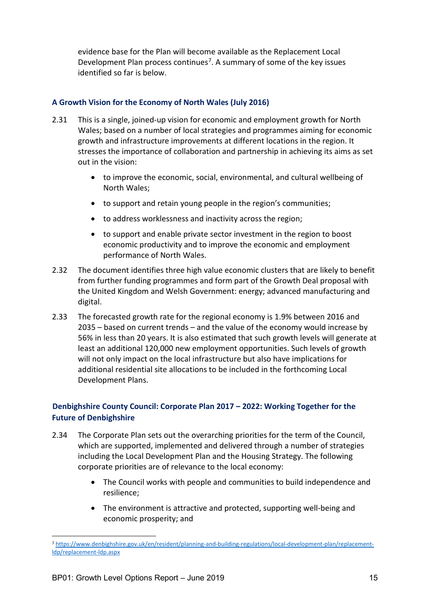evidence base for the Plan will become available as the Replacement Local Development Plan process continues<sup>7</sup>. A summary of some of the key issues identified so far is below.

#### **A Growth Vision for the Economy of North Wales (July 2016)**

- 2.31 This is a single, joined-up vision for economic and employment growth for North Wales; based on a number of local strategies and programmes aiming for economic growth and infrastructure improvements at different locations in the region. It stresses the importance of collaboration and partnership in achieving its aims as set out in the vision:
	- to improve the economic, social, environmental, and cultural wellbeing of North Wales;
	- to support and retain young people in the region's communities;
	- to address worklessness and inactivity across the region;
	- to support and enable private sector investment in the region to boost economic productivity and to improve the economic and employment performance of North Wales.
- 2.32 The document identifies three high value economic clusters that are likely to benefit from further funding programmes and form part of the Growth Deal proposal with the United Kingdom and Welsh Government: energy; advanced manufacturing and digital.
- 2.33 The forecasted growth rate for the regional economy is 1.9% between 2016 and 2035 – based on current trends – and the value of the economy would increase by 56% in less than 20 years. It is also estimated that such growth levels will generate at least an additional 120,000 new employment opportunities. Such levels of growth will not only impact on the local infrastructure but also have implications for additional residential site allocations to be included in the forthcoming Local Development Plans.

## **Denbighshire County Council: Corporate Plan 2017 – 2022: Working Together for the Future of Denbighshire**

- 2.34 The Corporate Plan sets out the overarching priorities for the term of the Council, which are supported, implemented and delivered through a number of strategies including the Local Development Plan and the Housing Strategy. The following corporate priorities are of relevance to the local economy:
	- The Council works with people and communities to build independence and resilience;
	- The environment is attractive and protected, supporting well-being and economic prosperity; and

<span id="page-14-0"></span> <sup>7</sup> [https://www.denbighshire.gov.uk/en/resident/planning-and-building-regulations/local-development-plan/replacement](http://www.conwy.gov.uk/rldp)[ldp/replacement-ldp.aspx](http://www.conwy.gov.uk/rldp)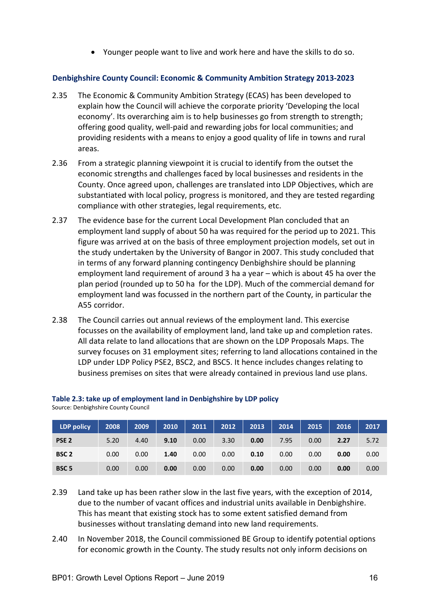• Younger people want to live and work here and have the skills to do so.

#### **Denbighshire County Council: Economic & Community Ambition Strategy 2013-2023**

- 2.35 The Economic & Community Ambition Strategy (ECAS) has been developed to explain how the Council will achieve the corporate priority 'Developing the local economy'. Its overarching aim is to help businesses go from strength to strength; offering good quality, well-paid and rewarding jobs for local communities; and providing residents with a means to enjoy a good quality of life in towns and rural areas.
- 2.36 From a strategic planning viewpoint it is crucial to identify from the outset the economic strengths and challenges faced by local businesses and residents in the County. Once agreed upon, challenges are translated into LDP Objectives, which are substantiated with local policy, progress is monitored, and they are tested regarding compliance with other strategies, legal requirements, etc.
- 2.37 The evidence base for the current Local Development Plan concluded that an employment land supply of about 50 ha was required for the period up to 2021. This figure was arrived at on the basis of three employment projection models, set out in the study undertaken by the University of Bangor in 2007. This study concluded that in terms of any forward planning contingency Denbighshire should be planning employment land requirement of around 3 ha a year – which is about 45 ha over the plan period (rounded up to 50 ha for the LDP). Much of the commercial demand for employment land was focussed in the northern part of the County, in particular the A55 corridor.
- 2.38 The Council carries out annual reviews of the employment land. This exercise focusses on the availability of employment land, land take up and completion rates. All data relate to land allocations that are shown on the LDP Proposals Maps. The survey focuses on 31 employment sites; referring to land allocations contained in the LDP under LDP Policy PSE2, BSC2, and BSC5. It hence includes changes relating to business premises on sites that were already contained in previous land use plans.

| <b>LDP</b> policy | 2008 | 2009 | 2010 | 2011 | 2012 | 2013 | 2014 | 2015 | 2016 | 2017 |
|-------------------|------|------|------|------|------|------|------|------|------|------|
| PSE <sub>2</sub>  | 5.20 | 4.40 | 9.10 | 0.00 | 3.30 | 0.00 | 7.95 | 0.00 | 2.27 | 5.72 |
| BSC <sub>2</sub>  | 0.00 | 0.00 | 1.40 | 0.00 | 0.00 | 0.10 | 0.00 | 0.00 | 0.00 | 0.00 |
| BSC <sub>5</sub>  | 0.00 | 0.00 | 0.00 | 0.00 | 0.00 | 0.00 | 0.00 | 0.00 | 0.00 | 0.00 |

## **Table 2.3: take up of employment land in Denbighshire by LDP policy**

Source: Denbighshire County Council

- 2.39 Land take up has been rather slow in the last five years, with the exception of 2014, due to the number of vacant offices and industrial units available in Denbighshire. This has meant that existing stock has to some extent satisfied demand from businesses without translating demand into new land requirements.
- 2.40 In November 2018, the Council commissioned BE Group to identify potential options for economic growth in the County. The study results not only inform decisions on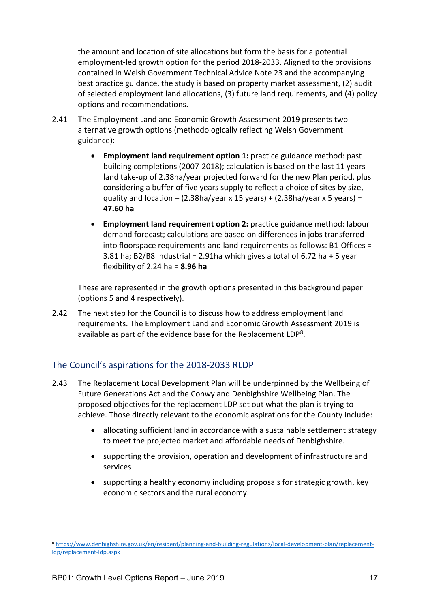the amount and location of site allocations but form the basis for a potential employment-led growth option for the period 2018-2033. Aligned to the provisions contained in Welsh Government Technical Advice Note 23 and the accompanying best practice guidance, the study is based on property market assessment, (2) audit of selected employment land allocations, (3) future land requirements, and (4) policy options and recommendations.

- 2.41 The Employment Land and Economic Growth Assessment 2019 presents two alternative growth options (methodologically reflecting Welsh Government guidance):
	- **Employment land requirement option 1:** practice guidance method: past building completions (2007-2018); calculation is based on the last 11 years land take-up of 2.38ha/year projected forward for the new Plan period, plus considering a buffer of five years supply to reflect a choice of sites by size, quality and location  $-$  (2.38ha/year x 15 years) + (2.38ha/year x 5 years) = **47.60 ha**
	- **Employment land requirement option 2:** practice guidance method: labour demand forecast; calculations are based on differences in jobs transferred into floorspace requirements and land requirements as follows: B1-Offices = 3.81 ha; B2/B8 Industrial = 2.91 ha which gives a total of  $6.72$  ha  $+5$  year flexibility of 2.24 ha = **8.96 ha**

These are represented in the growth options presented in this background paper (options 5 and 4 respectively).

2.42 The next step for the Council is to discuss how to address employment land requirements. The Employment Land and Economic Growth Assessment 2019 is available as part of the evidence base for the Replacement LDP<sup>8</sup>.

## <span id="page-16-0"></span>The Council's aspirations for the 2018-2033 RLDP

- 2.43 The Replacement Local Development Plan will be underpinned by the Wellbeing of Future Generations Act and the Conwy and Denbighshire Wellbeing Plan. The proposed objectives for the replacement LDP set out what the plan is trying to achieve. Those directly relevant to the economic aspirations for the County include:
	- allocating sufficient land in accordance with a sustainable settlement strategy to meet the projected market and affordable needs of Denbighshire.
	- supporting the provision, operation and development of infrastructure and services
	- supporting a healthy economy including proposals for strategic growth, key economic sectors and the rural economy.

<span id="page-16-1"></span> <sup>8</sup> [https://www.denbighshire.gov.uk/en/resident/planning-and-building-regulations/local-development-plan/replacement](http://www.conwy.gov.uk/rldp)[ldp/replacement-ldp.aspx](http://www.conwy.gov.uk/rldp)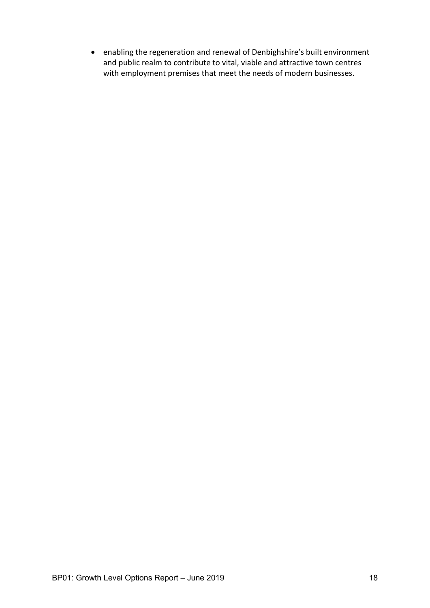• enabling the regeneration and renewal of Denbighshire's built environment and public realm to contribute to vital, viable and attractive town centres with employment premises that meet the needs of modern businesses.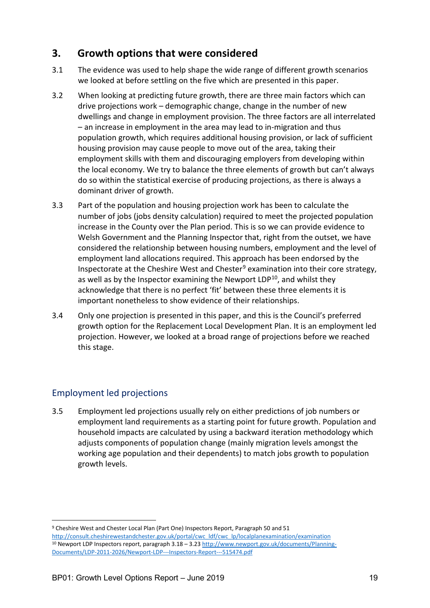# <span id="page-18-0"></span>**3. Growth options that were considered**

- 3.1 The evidence was used to help shape the wide range of different growth scenarios we looked at before settling on the five which are presented in this paper.
- 3.2 When looking at predicting future growth, there are three main factors which can drive projections work – demographic change, change in the number of new dwellings and change in employment provision. The three factors are all interrelated – an increase in employment in the area may lead to in-migration and thus population growth, which requires additional housing provision, or lack of sufficient housing provision may cause people to move out of the area, taking their employment skills with them and discouraging employers from developing within the local economy. We try to balance the three elements of growth but can't always do so within the statistical exercise of producing projections, as there is always a dominant driver of growth.
- 3.3 Part of the population and housing projection work has been to calculate the number of jobs (jobs density calculation) required to meet the projected population increase in the County over the Plan period. This is so we can provide evidence to Welsh Government and the Planning Inspector that, right from the outset, we have considered the relationship between housing numbers, employment and the level of employment land allocations required. This approach has been endorsed by the Inspectorate at the Cheshire West and Chester<sup>[9](#page-18-2)</sup> examination into their core strategy, as well as by the Inspector examining the Newport  $LDP^{10}$  $LDP^{10}$  $LDP^{10}$ , and whilst they acknowledge that there is no perfect 'fit' between these three elements it is important nonetheless to show evidence of their relationships.
- 3.4 Only one projection is presented in this paper, and this is the Council's preferred growth option for the Replacement Local Development Plan. It is an employment led projection. However, we looked at a broad range of projections before we reached this stage.

## <span id="page-18-1"></span>Employment led projections

3.5 Employment led projections usually rely on either predictions of job numbers or employment land requirements as a starting point for future growth. Population and household impacts are calculated by using a backward iteration methodology which adjusts components of population change (mainly migration levels amongst the working age population and their dependents) to match jobs growth to population growth levels.

<span id="page-18-3"></span><span id="page-18-2"></span> <sup>9</sup> Cheshire West and Chester Local Plan (Part One) Inspectors Report, Paragraph 50 and <sup>51</sup> [http://consult.cheshirewestandchester.gov.uk/portal/cwc\\_ldf/cwc\\_lp/localplanexamination/examination](http://consult.cheshirewestandchester.gov.uk/portal/cwc_ldf/cwc_lp/localplanexamination/examination) <sup>10</sup> Newport LDP Inspectors report, paragraph 3.18 – 3.23 [http://www.newport.gov.uk/documents/Planning-](http://www.newport.gov.uk/documents/Planning-Documents/LDP-2011-2026/Newport-LDP---Inspectors-Report---515474.pdf)[Documents/LDP-2011-2026/Newport-LDP---Inspectors-Report---515474.pdf](http://www.newport.gov.uk/documents/Planning-Documents/LDP-2011-2026/Newport-LDP---Inspectors-Report---515474.pdf)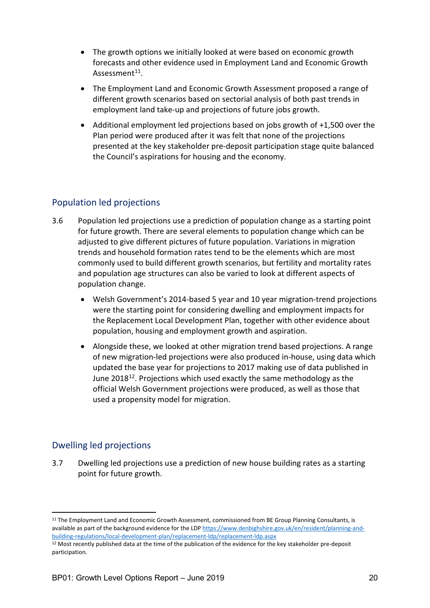- The growth options we initially looked at were based on economic growth forecasts and other evidence used in Employment Land and Economic Growth Assessment $11$ .
- The Employment Land and Economic Growth Assessment proposed a range of different growth scenarios based on sectorial analysis of both past trends in employment land take-up and projections of future jobs growth.
- Additional employment led projections based on jobs growth of +1,500 over the Plan period were produced after it was felt that none of the projections presented at the key stakeholder pre-deposit participation stage quite balanced the Council's aspirations for housing and the economy.

## <span id="page-19-0"></span>Population led projections

- 3.6 Population led projections use a prediction of population change as a starting point for future growth. There are several elements to population change which can be adjusted to give different pictures of future population. Variations in migration trends and household formation rates tend to be the elements which are most commonly used to build different growth scenarios, but fertility and mortality rates and population age structures can also be varied to look at different aspects of population change.
	- Welsh Government's 2014-based 5 year and 10 year migration-trend projections were the starting point for considering dwelling and employment impacts for the Replacement Local Development Plan, together with other evidence about population, housing and employment growth and aspiration.
	- Alongside these, we looked at other migration trend based projections. A range of new migration-led projections were also produced in-house, using data which updated the base year for projections to 2017 making use of data published in June 2018<sup>12</sup>. Projections which used exactly the same methodology as the official Welsh Government projections were produced, as well as those that used a propensity model for migration.

## <span id="page-19-1"></span>Dwelling led projections

3.7 Dwelling led projections use a prediction of new house building rates as a starting point for future growth.

<span id="page-19-2"></span><sup>&</sup>lt;sup>11</sup> The Employment Land and Economic Growth Assessment, commissioned from BE Group Planning Consultants, is available as part of the background evidence for the LD[P https://www.denbighshire.gov.uk/en/resident/planning-and](http://www.conwy.gov.uk/rldp)[building-regulations/local-development-plan/replacement-ldp/replacement-ldp.aspx](http://www.conwy.gov.uk/rldp)

<span id="page-19-3"></span><sup>&</sup>lt;sup>12</sup> Most recently published data at the time of the publication of the evidence for the key stakeholder pre-deposit participation.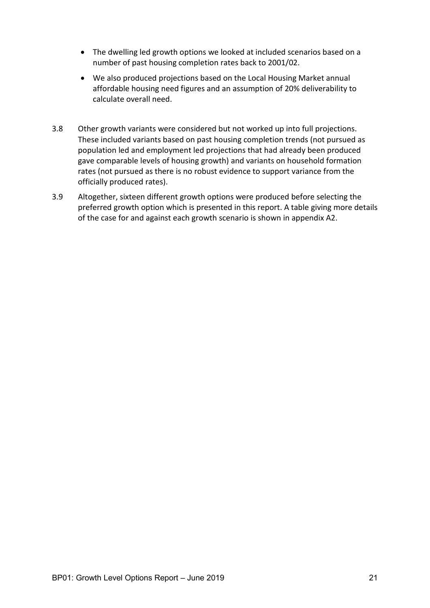- The dwelling led growth options we looked at included scenarios based on a number of past housing completion rates back to 2001/02.
- We also produced projections based on the Local Housing Market annual affordable housing need figures and an assumption of 20% deliverability to calculate overall need.
- 3.8 Other growth variants were considered but not worked up into full projections. These included variants based on past housing completion trends (not pursued as population led and employment led projections that had already been produced gave comparable levels of housing growth) and variants on household formation rates (not pursued as there is no robust evidence to support variance from the officially produced rates).
- 3.9 Altogether, sixteen different growth options were produced before selecting the preferred growth option which is presented in this report. A table giving more details of the case for and against each growth scenario is shown in appendix A2.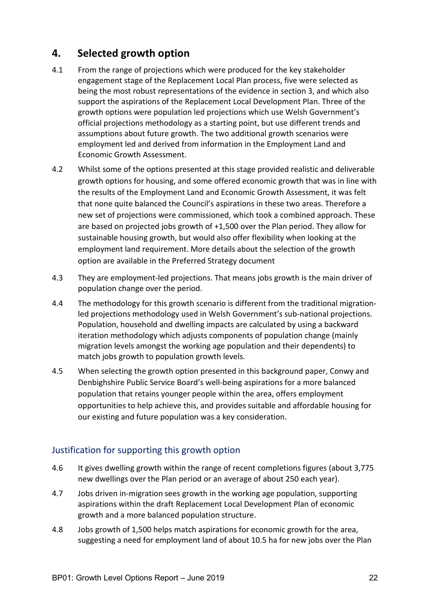# <span id="page-21-0"></span>**4. Selected growth option**

- 4.1 From the range of projections which were produced for the key stakeholder engagement stage of the Replacement Local Plan process, five were selected as being the most robust representations of the evidence in section 3, and which also support the aspirations of the Replacement Local Development Plan. Three of the growth options were population led projections which use Welsh Government's official projections methodology as a starting point, but use different trends and assumptions about future growth. The two additional growth scenarios were employment led and derived from information in the Employment Land and Economic Growth Assessment.
- 4.2 Whilst some of the options presented at this stage provided realistic and deliverable growth options for housing, and some offered economic growth that was in line with the results of the Employment Land and Economic Growth Assessment, it was felt that none quite balanced the Council's aspirations in these two areas. Therefore a new set of projections were commissioned, which took a combined approach. These are based on projected jobs growth of +1,500 over the Plan period. They allow for sustainable housing growth, but would also offer flexibility when looking at the employment land requirement. More details about the selection of the growth option are available in the Preferred Strategy document
- 4.3 They are employment-led projections. That means jobs growth is the main driver of population change over the period.
- 4.4 The methodology for this growth scenario is different from the traditional migrationled projections methodology used in Welsh Government's sub-national projections. Population, household and dwelling impacts are calculated by using a backward iteration methodology which adjusts components of population change (mainly migration levels amongst the working age population and their dependents) to match jobs growth to population growth levels.
- 4.5 When selecting the growth option presented in this background paper, Conwy and Denbighshire Public Service Board's well-being aspirations for a more balanced population that retains younger people within the area, offers employment opportunities to help achieve this, and provides suitable and affordable housing for our existing and future population was a key consideration.

## <span id="page-21-1"></span>Justification for supporting this growth option

- 4.6 It gives dwelling growth within the range of recent completions figures (about 3,775 new dwellings over the Plan period or an average of about 250 each year).
- 4.7 Jobs driven in-migration sees growth in the working age population, supporting aspirations within the draft Replacement Local Development Plan of economic growth and a more balanced population structure.
- 4.8 Jobs growth of 1,500 helps match aspirations for economic growth for the area, suggesting a need for employment land of about 10.5 ha for new jobs over the Plan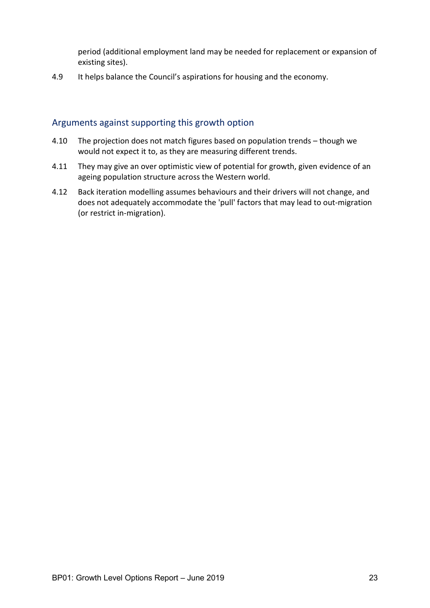period (additional employment land may be needed for replacement or expansion of existing sites).

4.9 It helps balance the Council's aspirations for housing and the economy.

#### <span id="page-22-0"></span>Arguments against supporting this growth option

- 4.10 The projection does not match figures based on population trends though we would not expect it to, as they are measuring different trends.
- 4.11 They may give an over optimistic view of potential for growth, given evidence of an ageing population structure across the Western world.
- 4.12 Back iteration modelling assumes behaviours and their drivers will not change, and does not adequately accommodate the 'pull' factors that may lead to out-migration (or restrict in-migration).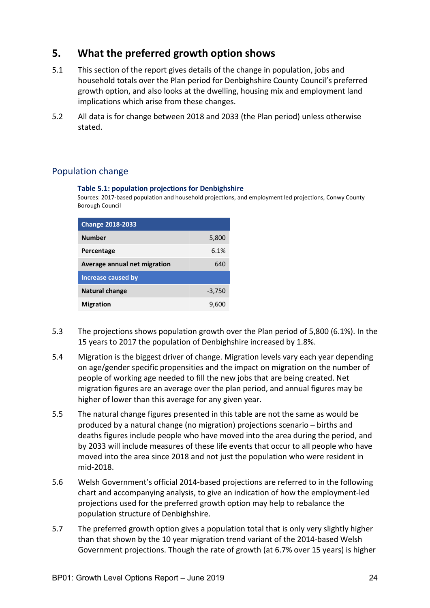# <span id="page-23-0"></span>**5. What the preferred growth option shows**

- 5.1 This section of the report gives details of the change in population, jobs and household totals over the Plan period for Denbighshire County Council's preferred growth option, and also looks at the dwelling, housing mix and employment land implications which arise from these changes.
- 5.2 All data is for change between 2018 and 2033 (the Plan period) unless otherwise stated.

## <span id="page-23-1"></span>Population change

#### **Table 5.1: population projections for Denbighshire**

Sources: 2017-based population and household projections, and employment led projections, Conwy County Borough Council

| <b>Change 2018-2033</b>      |          |
|------------------------------|----------|
| <b>Number</b>                | 5,800    |
| Percentage                   | 6.1%     |
| Average annual net migration | 640      |
| <b>Increase caused by</b>    |          |
| Natural change               | $-3,750$ |
| <b>Migration</b>             | 9.600    |

- 5.3 The projections shows population growth over the Plan period of 5,800 (6.1%). In the 15 years to 2017 the population of Denbighshire increased by 1.8%.
- 5.4 Migration is the biggest driver of change. Migration levels vary each year depending on age/gender specific propensities and the impact on migration on the number of people of working age needed to fill the new jobs that are being created. Net migration figures are an average over the plan period, and annual figures may be higher of lower than this average for any given year.
- 5.5 The natural change figures presented in this table are not the same as would be produced by a natural change (no migration) projections scenario – births and deaths figures include people who have moved into the area during the period, and by 2033 will include measures of these life events that occur to all people who have moved into the area since 2018 and not just the population who were resident in mid-2018.
- 5.6 Welsh Government's official 2014-based projections are referred to in the following chart and accompanying analysis, to give an indication of how the employment-led projections used for the preferred growth option may help to rebalance the population structure of Denbighshire.
- 5.7 The preferred growth option gives a population total that is only very slightly higher than that shown by the 10 year migration trend variant of the 2014-based Welsh Government projections. Though the rate of growth (at 6.7% over 15 years) is higher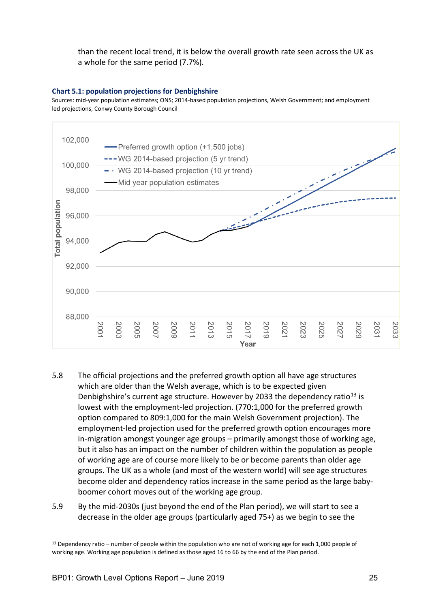than the recent local trend, it is below the overall growth rate seen across the UK as a whole for the same period (7.7%).

#### **Chart 5.1: population projections for Denbighshire**

Sources: mid-year population estimates; ONS; 2014-based population projections, Welsh Government; and employment led projections, Conwy County Borough Council



- 5.8 The official projections and the preferred growth option all have age structures which are older than the Welsh average, which is to be expected given Denbighshire's current age structure. However by 2033 the dependency ratio<sup>[13](#page-24-0)</sup> is lowest with the employment-led projection. (770:1,000 for the preferred growth option compared to 809:1,000 for the main Welsh Government projection). The employment-led projection used for the preferred growth option encourages more in-migration amongst younger age groups – primarily amongst those of working age, but it also has an impact on the number of children within the population as people of working age are of course more likely to be or become parents than older age groups. The UK as a whole (and most of the western world) will see age structures become older and dependency ratios increase in the same period as the large babyboomer cohort moves out of the working age group.
- 5.9 By the mid-2030s (just beyond the end of the Plan period), we will start to see a decrease in the older age groups (particularly aged 75+) as we begin to see the

<span id="page-24-0"></span><sup>&</sup>lt;sup>13</sup> Dependency ratio – number of people within the population who are not of working age for each 1,000 people of working age. Working age population is defined as those aged 16 to 66 by the end of the Plan period.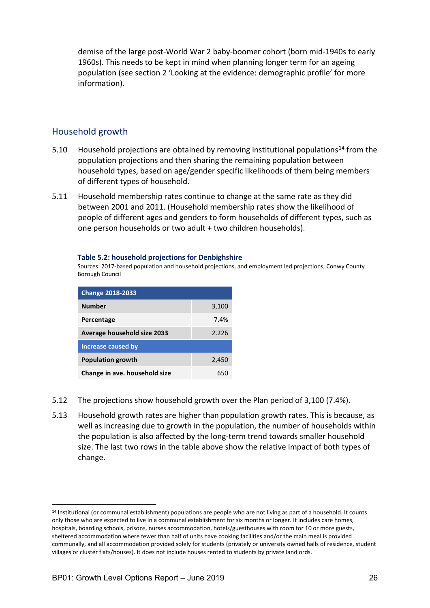demise of the large post-World War 2 baby-boomer cohort (born mid-1940s to early 1960s). This needs to be kept in mind when planning longer term for an ageing population (see section 2 'Looking at the evidence: demographic profile' for more information).

#### <span id="page-25-0"></span>Household growth

- 5.10 Household projections are obtained by removing institutional populations<sup>[14](#page-25-1)</sup> from the population projections and then sharing the remaining population between household types, based on age/gender specific likelihoods of them being members of different types of household.
- 5.11 Household membership rates continue to change at the same rate as they did between 2001 and 2011. (Household membership rates show the likelihood of people of different ages and genders to form households of different types, such as one person households or two adult + two children households).

#### **Table 5.2: household projections for Denbighshire**

Sources: 2017-based population and household projections, and employment led projections, Conwy County Borough Council

| <b>Change 2018-2033</b>       |       |
|-------------------------------|-------|
| <b>Number</b>                 | 3,100 |
| Percentage                    | 7.4%  |
| Average household size 2033   | 2.226 |
| <b>Increase caused by</b>     |       |
| <b>Population growth</b>      | 2,450 |
| Change in ave. household size |       |

- 5.12 The projections show household growth over the Plan period of 3,100 (7.4%).
- 5.13 Household growth rates are higher than population growth rates. This is because, as well as increasing due to growth in the population, the number of households within the population is also affected by the long-term trend towards smaller household size. The last two rows in the table above show the relative impact of both types of change.

<span id="page-25-1"></span><sup>&</sup>lt;sup>14</sup> Institutional (or communal establishment) populations are people who are not living as part of a household. It counts only those who are expected to live in a communal establishment for six months or longer. It includes care homes, hospitals, boarding schools, prisons, nurses accommodation, hotels/guesthouses with room for 10 or more guests, sheltered accommodation where fewer than half of units have cooking facilities and/or the main meal is provided communally, and all accommodation provided solely for students (privately or university owned halls of residence, student villages or cluster flats/houses). It does not include houses rented to students by private landlords.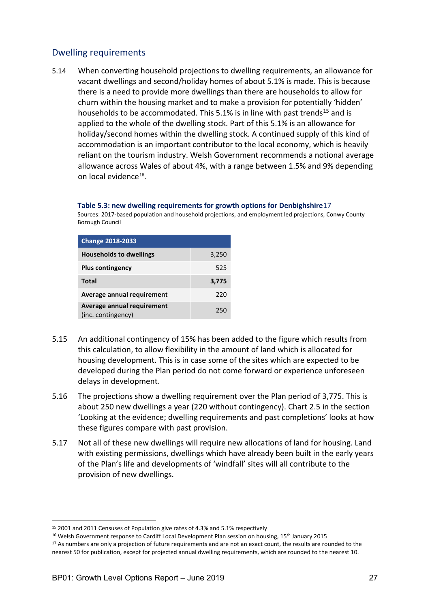## <span id="page-26-0"></span>Dwelling requirements

5.14 When converting household projections to dwelling requirements, an allowance for vacant dwellings and second/holiday homes of about 5.1% is made. This is because there is a need to provide more dwellings than there are households to allow for churn within the housing market and to make a provision for potentially 'hidden' households to be accommodated. This 5.1% is in line with past trends<sup>[15](#page-26-1)</sup> and is applied to the whole of the dwelling stock. Part of this 5.1% is an allowance for holiday/second homes within the dwelling stock. A continued supply of this kind of accommodation is an important contributor to the local economy, which is heavily reliant on the tourism industry. Welsh Government recommends a notional average allowance across Wales of about 4%, with a range between 1.5% and 9% depending on local evidence[16.](#page-26-2)

#### **Table 5.3: new dwelling requirements for growth options for Denbighshire**[17](#page-26-3)

Sources: 2017-based population and household projections, and employment led projections, Conwy County Borough Council

| <b>Change 2018-2033</b>        |       |
|--------------------------------|-------|
| <b>Households to dwellings</b> | 3,250 |
| <b>Plus contingency</b>        | 525   |
|                                |       |
| <b>Total</b>                   | 3,775 |
| Average annual requirement     | 220   |

- 5.15 An additional contingency of 15% has been added to the figure which results from this calculation, to allow flexibility in the amount of land which is allocated for housing development. This is in case some of the sites which are expected to be developed during the Plan period do not come forward or experience unforeseen delays in development.
- 5.16 The projections show a dwelling requirement over the Plan period of 3,775. This is about 250 new dwellings a year (220 without contingency). Chart 2.5 in the section 'Looking at the evidence; dwelling requirements and past completions' looks at how these figures compare with past provision.
- 5.17 Not all of these new dwellings will require new allocations of land for housing. Land with existing permissions, dwellings which have already been built in the early years of the Plan's life and developments of 'windfall' sites will all contribute to the provision of new dwellings.

<span id="page-26-1"></span> <sup>15</sup> 2001 and 2011 Censuses of Population give rates of 4.3% and 5.1% respectively

<span id="page-26-2"></span><sup>&</sup>lt;sup>16</sup> Welsh Government response to Cardiff Local Development Plan session on housing, 15<sup>th</sup> January 2015

<span id="page-26-3"></span><sup>&</sup>lt;sup>17</sup> As numbers are only a projection of future requirements and are not an exact count, the results are rounded to the nearest 50 for publication, except for projected annual dwelling requirements, which are rounded to the nearest 10.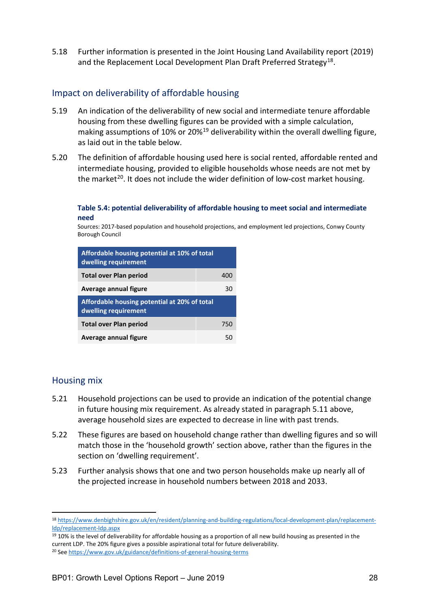5.18 Further information is presented in the Joint Housing Land Availability report (2019) and the Replacement Local Development Plan Draft Preferred Strategy<sup>18</sup>.

## <span id="page-27-0"></span>Impact on deliverability of affordable housing

- 5.19 An indication of the deliverability of new social and intermediate tenure affordable housing from these dwelling figures can be provided with a simple calculation, making assumptions of 10% or 20%<sup>[19](#page-27-3)</sup> deliverability within the overall dwelling figure, as laid out in the table below.
- 5.20 The definition of affordable housing used here is social rented, affordable rented and intermediate housing, provided to eligible households whose needs are not met by the market<sup>20</sup>. It does not include the wider definition of low-cost market housing.

#### **Table 5.4: potential deliverability of affordable housing to meet social and intermediate need**

Sources: 2017-based population and household projections, and employment led projections, Conwy County Borough Council

| Affordable housing potential at 10% of total<br>dwelling requirement |     |  |  |
|----------------------------------------------------------------------|-----|--|--|
| <b>Total over Plan period</b>                                        | 400 |  |  |
| Average annual figure<br>30                                          |     |  |  |
| Affordable housing potential at 20% of total<br>dwelling requirement |     |  |  |
| <b>Total over Plan period</b>                                        | 750 |  |  |
| Average annual figure                                                |     |  |  |

#### <span id="page-27-1"></span>Housing mix

- 5.21 Household projections can be used to provide an indication of the potential change in future housing mix requirement. As already stated in paragraph 5.11 above, average household sizes are expected to decrease in line with past trends.
- 5.22 These figures are based on household change rather than dwelling figures and so will match those in the 'household growth' section above, rather than the figures in the section on 'dwelling requirement'.
- 5.23 Further analysis shows that one and two person households make up nearly all of the projected increase in household numbers between 2018 and 2033.

<span id="page-27-3"></span> $19$  10% is the level of deliverability for affordable housing as a proportion of all new build housing as presented in the current LDP. The 20% figure gives a possible aspirational total for future deliverability.

<span id="page-27-2"></span> <sup>18</sup> [https://www.denbighshire.gov.uk/en/resident/planning-and-building-regulations/local-development-plan/replacement](http://www.conwy.gov.uk/rldp)[ldp/replacement-ldp.aspx](http://www.conwy.gov.uk/rldp)

<span id="page-27-4"></span><sup>20</sup> Se[e https://www.gov.uk/guidance/definitions-of-general-housing-terms](https://www.gov.uk/guidance/definitions-of-general-housing-terms)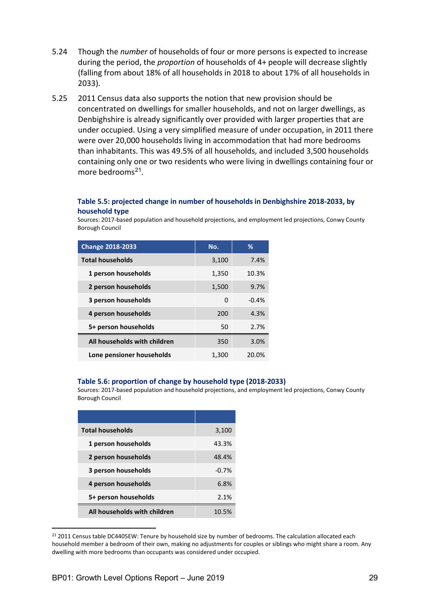- 5.24 Though the *number* of households of four or more persons is expected to increase during the period, the *proportion* of households of 4+ people will decrease slightly (falling from about 18% of all households in 2018 to about 17% of all households in 2033).
- 5.25 2011 Census data also supports the notion that new provision should be concentrated on dwellings for smaller households, and not on larger dwellings, as Denbighshire is already significantly over provided with larger properties that are under occupied. Using a very simplified measure of under occupation, in 2011 there were over 20,000 households living in accommodation that had more bedrooms than inhabitants. This was 49.5% of all households, and included 3,500 households containing only one or two residents who were living in dwellings containing four or more bedrooms<sup>[21](#page-28-0)</sup>.

#### **Table 5.5: projected change in number of households in Denbighshire 2018-2033, by household type**

Sources: 2017-based population and household projections, and employment led projections, Conwy County Borough Council

| <b>Change 2018-2033</b>      | No.   | %       |
|------------------------------|-------|---------|
| <b>Total households</b>      | 3,100 | 7.4%    |
| 1 person households          | 1,350 | 10.3%   |
| 2 person households          | 1,500 | 9.7%    |
| 3 person households          | 0     | $-0.4%$ |
| 4 person households          | 200   | 4.3%    |
| 5+ person households         | 50    | 2.7%    |
| All households with children | 350   | 3.0%    |
| Lone pensioner households    | 1,300 | 20.0%   |

#### **Table 5.6: proportion of change by household type (2018-2033)**

Sources: 2017-based population and household projections, and employment led projections, Conwy County Borough Council

| <b>Total households</b>      | 3,100   |
|------------------------------|---------|
| 1 person households          | 43.3%   |
| 2 person households          | 48.4%   |
| 3 person households          | $-0.7%$ |
| 4 person households          | 6.8%    |
| 5+ person households         | 2.1%    |
| All households with children | 1በ 5%   |

<span id="page-28-0"></span><sup>&</sup>lt;sup>21</sup> 2011 Census table DC4405EW: Tenure by household size by number of bedrooms. The calculation allocated each household member a bedroom of their own, making no adjustments for couples or siblings who might share a room. Any dwelling with more bedrooms than occupants was considered under occupied.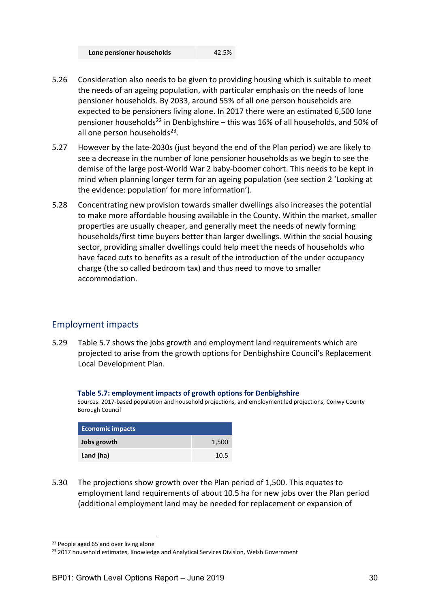| Lone pensioner households | 42.5% |
|---------------------------|-------|
|---------------------------|-------|

- 5.26 Consideration also needs to be given to providing housing which is suitable to meet the needs of an ageing population, with particular emphasis on the needs of lone pensioner households. By 2033, around 55% of all one person households are expected to be pensioners living alone. In 2017 there were an estimated 6,500 lone pensioner households[22](#page-29-1) in Denbighshire – this was 16% of all households, and 50% of all one person households<sup>[23](#page-29-2)</sup>.
- 5.27 However by the late-2030s (just beyond the end of the Plan period) we are likely to see a decrease in the number of lone pensioner households as we begin to see the demise of the large post-World War 2 baby-boomer cohort. This needs to be kept in mind when planning longer term for an ageing population (see section 2 'Looking at the evidence: population' for more information').
- 5.28 Concentrating new provision towards smaller dwellings also increases the potential to make more affordable housing available in the County. Within the market, smaller properties are usually cheaper, and generally meet the needs of newly forming households/first time buyers better than larger dwellings. Within the social housing sector, providing smaller dwellings could help meet the needs of households who have faced cuts to benefits as a result of the introduction of the under occupancy charge (the so called bedroom tax) and thus need to move to smaller accommodation.

## <span id="page-29-0"></span>Employment impacts

5.29 Table 5.7 shows the jobs growth and employment land requirements which are projected to arise from the growth options for Denbighshire Council's Replacement Local Development Plan.

#### **Table 5.7: employment impacts of growth options for Denbighshire**

Sources: 2017-based population and household projections, and employment led projections, Conwy County Borough Council

| <b>Economic impacts</b> |       |
|-------------------------|-------|
| Jobs growth             | 1,500 |
| Land (ha)               | 10.5  |

5.30 The projections show growth over the Plan period of 1,500. This equates to employment land requirements of about 10.5 ha for new jobs over the Plan period (additional employment land may be needed for replacement or expansion of

<span id="page-29-1"></span> <sup>22</sup> People aged 65 and over living alone

<span id="page-29-2"></span><sup>&</sup>lt;sup>23</sup> 2017 household estimates, Knowledge and Analytical Services Division, Welsh Government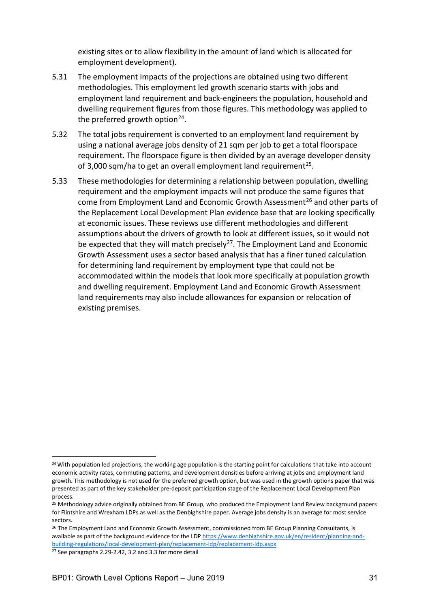existing sites or to allow flexibility in the amount of land which is allocated for employment development).

- 5.31 The employment impacts of the projections are obtained using two different methodologies. This employment led growth scenario starts with jobs and employment land requirement and back-engineers the population, household and dwelling requirement figures from those figures. This methodology was applied to the preferred growth option<sup>[24](#page-30-0)</sup>.
- 5.32 The total jobs requirement is converted to an employment land requirement by using a national average jobs density of 21 sqm per job to get a total floorspace requirement. The floorspace figure is then divided by an average developer density of 3,000 sqm/ha to get an overall employment land requirement<sup>25</sup>.
- 5.33 These methodologies for determining a relationship between population, dwelling requirement and the employment impacts will not produce the same figures that come from Employment Land and Economic Growth Assessment<sup>[26](#page-30-2)</sup> and other parts of the Replacement Local Development Plan evidence base that are looking specifically at economic issues. These reviews use different methodologies and different assumptions about the drivers of growth to look at different issues, so it would not be expected that they will match precisely<sup>27</sup>. The Employment Land and Economic Growth Assessment uses a sector based analysis that has a finer tuned calculation for determining land requirement by employment type that could not be accommodated within the models that look more specifically at population growth and dwelling requirement. Employment Land and Economic Growth Assessment land requirements may also include allowances for expansion or relocation of existing premises.

<span id="page-30-0"></span><sup>&</sup>lt;sup>24</sup> With population led projections, the working age population is the starting point for calculations that take into account economic activity rates, commuting patterns, and development densities before arriving at jobs and employment land growth. This methodology is not used for the preferred growth option, but was used in the growth options paper that was presented as part of the key stakeholder pre-deposit participation stage of the Replacement Local Development Plan process.

<span id="page-30-1"></span><sup>&</sup>lt;sup>25</sup> Methodology advice originally obtained from BE Group, who produced the Employment Land Review background papers for Flintshire and Wrexham LDPs as well as the Denbighshire paper. Average jobs density is an average for most service sectors.

<span id="page-30-2"></span><sup>&</sup>lt;sup>26</sup> The Employment Land and Economic Growth Assessment, commissioned from BE Group Planning Consultants, is available as part of the background evidence for the LD[P https://www.denbighshire.gov.uk/en/resident/planning-and](http://www.conwy.gov.uk/rldp)[building-regulations/local-development-plan/replacement-ldp/replacement-ldp.aspx](http://www.conwy.gov.uk/rldp)

<span id="page-30-3"></span><sup>27</sup> See paragraphs 2.29-2.42, 3.2 and 3.3 for more detail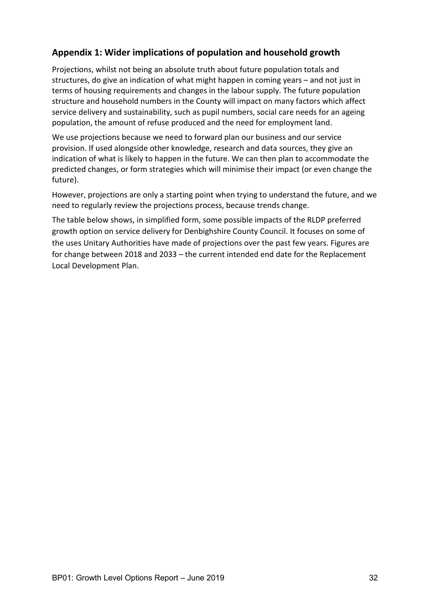## <span id="page-31-0"></span>**Appendix 1: Wider implications of population and household growth**

Projections, whilst not being an absolute truth about future population totals and structures, do give an indication of what might happen in coming years – and not just in terms of housing requirements and changes in the labour supply. The future population structure and household numbers in the County will impact on many factors which affect service delivery and sustainability, such as pupil numbers, social care needs for an ageing population, the amount of refuse produced and the need for employment land.

We use projections because we need to forward plan our business and our service provision. If used alongside other knowledge, research and data sources, they give an indication of what is likely to happen in the future. We can then plan to accommodate the predicted changes, or form strategies which will minimise their impact (or even change the future).

However, projections are only a starting point when trying to understand the future, and we need to regularly review the projections process, because trends change.

The table below shows, in simplified form, some possible impacts of the RLDP preferred growth option on service delivery for Denbighshire County Council. It focuses on some of the uses Unitary Authorities have made of projections over the past few years. Figures are for change between 2018 and 2033 – the current intended end date for the Replacement Local Development Plan.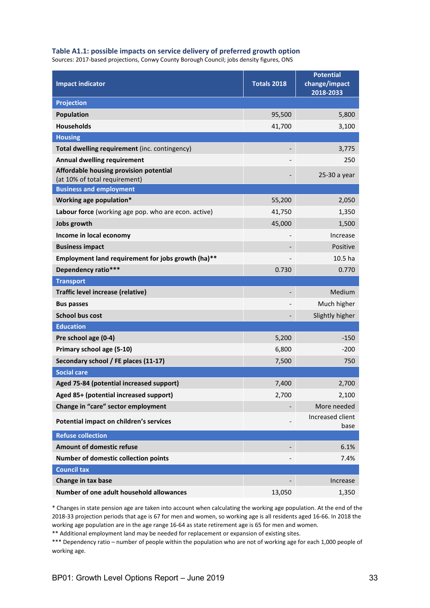#### **Table A1.1: possible impacts on service delivery of preferred growth option**

Sources: 2017-based projections, Conwy County Borough Council; jobs density figures, ONS

| <b>Impact indicator</b>                                                 | <b>Totals 2018</b>       | <b>Potential</b><br>change/impact<br>2018-2033 |
|-------------------------------------------------------------------------|--------------------------|------------------------------------------------|
| <b>Projection</b>                                                       |                          |                                                |
| <b>Population</b>                                                       | 95,500                   | 5,800                                          |
| <b>Households</b>                                                       | 41,700                   | 3,100                                          |
| <b>Housing</b>                                                          |                          |                                                |
| Total dwelling requirement (inc. contingency)                           |                          | 3,775                                          |
| <b>Annual dwelling requirement</b>                                      |                          | 250                                            |
| Affordable housing provision potential<br>(at 10% of total requirement) |                          | 25-30 a year                                   |
| <b>Business and employment</b>                                          |                          |                                                |
| Working age population*                                                 | 55,200                   | 2,050                                          |
| Labour force (working age pop. who are econ. active)                    | 41,750                   | 1,350                                          |
| <b>Jobs growth</b>                                                      | 45,000                   | 1,500                                          |
| Income in local economy                                                 |                          | Increase                                       |
| <b>Business impact</b>                                                  |                          | <b>Positive</b>                                |
| Employment land requirement for jobs growth (ha)**                      |                          | 10.5 ha                                        |
| Dependency ratio***                                                     | 0.730                    | 0.770                                          |
| <b>Transport</b>                                                        |                          |                                                |
| Traffic level increase (relative)                                       | $\overline{\phantom{a}}$ | Medium                                         |
| <b>Bus passes</b>                                                       |                          | Much higher                                    |
| <b>School bus cost</b>                                                  |                          | Slightly higher                                |
| <b>Education</b>                                                        |                          |                                                |
| Pre school age (0-4)                                                    | 5,200                    | $-150$                                         |
| Primary school age (5-10)                                               | 6,800                    | $-200$                                         |
| Secondary school / FE places (11-17)                                    | 7,500                    | 750                                            |
| <b>Social care</b>                                                      |                          |                                                |
| Aged 75-84 (potential increased support)                                | 7,400                    | 2,700                                          |
| Aged 85+ (potential increased support)                                  | 2,700                    | 2,100                                          |
| Change in "care" sector employment                                      |                          | More needed                                    |
| Potential impact on children's services                                 |                          | Increased client<br>base                       |
| <b>Refuse collection</b>                                                |                          |                                                |
| Amount of domestic refuse                                               |                          | 6.1%                                           |
| Number of domestic collection points                                    |                          | 7.4%                                           |
| <b>Council tax</b>                                                      |                          |                                                |
| Change in tax base                                                      |                          | Increase                                       |
| Number of one adult household allowances                                | 13,050                   | 1,350                                          |

\* Changes in state pension age are taken into account when calculating the working age population. At the end of the 2018-33 projection periods that age is 67 for men and women, so working age is all residents aged 16-66. In 2018 the working age population are in the age range 16-64 as state retirement age is 65 for men and women.

\*\* Additional employment land may be needed for replacement or expansion of existing sites.

\*\*\* Dependency ratio – number of people within the population who are not of working age for each 1,000 people of working age.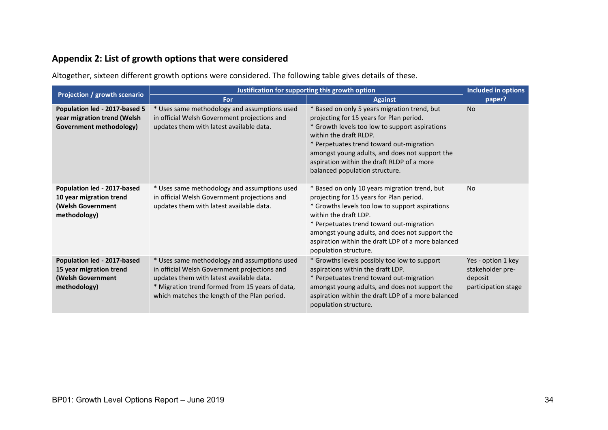# **Appendix 2: List of growth options that were considered**

Altogether, sixteen different growth options were considered. The following table gives details of these.

<span id="page-33-0"></span>

| Projection / growth scenario                                                                | Justification for supporting this growth option                                                                                                                                                                                             |                                                                                                                                                                                                                                                                                                                                                    | <b>Included in options</b>                                               |
|---------------------------------------------------------------------------------------------|---------------------------------------------------------------------------------------------------------------------------------------------------------------------------------------------------------------------------------------------|----------------------------------------------------------------------------------------------------------------------------------------------------------------------------------------------------------------------------------------------------------------------------------------------------------------------------------------------------|--------------------------------------------------------------------------|
|                                                                                             | <b>For</b>                                                                                                                                                                                                                                  | <b>Against</b>                                                                                                                                                                                                                                                                                                                                     | paper?                                                                   |
| Population led - 2017-based 5<br>year migration trend (Welsh<br>Government methodology)     | * Uses same methodology and assumptions used<br>in official Welsh Government projections and<br>updates them with latest available data.                                                                                                    | * Based on only 5 years migration trend, but<br>projecting for 15 years for Plan period.<br>* Growth levels too low to support aspirations<br>within the draft RLDP.<br>* Perpetuates trend toward out-migration<br>amongst young adults, and does not support the<br>aspiration within the draft RLDP of a more<br>balanced population structure. | <b>No</b>                                                                |
| Population led - 2017-based<br>10 year migration trend<br>(Welsh Government<br>methodology) | * Uses same methodology and assumptions used<br>in official Welsh Government projections and<br>updates them with latest available data.                                                                                                    | * Based on only 10 years migration trend, but<br>projecting for 15 years for Plan period.<br>* Growths levels too low to support aspirations<br>within the draft LDP.<br>* Perpetuates trend toward out-migration<br>amongst young adults, and does not support the<br>aspiration within the draft LDP of a more balanced<br>population structure. | <b>No</b>                                                                |
| Population led - 2017-based<br>15 year migration trend<br>(Welsh Government<br>methodology) | * Uses same methodology and assumptions used<br>in official Welsh Government projections and<br>updates them with latest available data.<br>* Migration trend formed from 15 years of data,<br>which matches the length of the Plan period. | * Growths levels possibly too low to support<br>aspirations within the draft LDP.<br>* Perpetuates trend toward out-migration<br>amongst young adults, and does not support the<br>aspiration within the draft LDP of a more balanced<br>population structure.                                                                                     | Yes - option 1 key<br>stakeholder pre-<br>deposit<br>participation stage |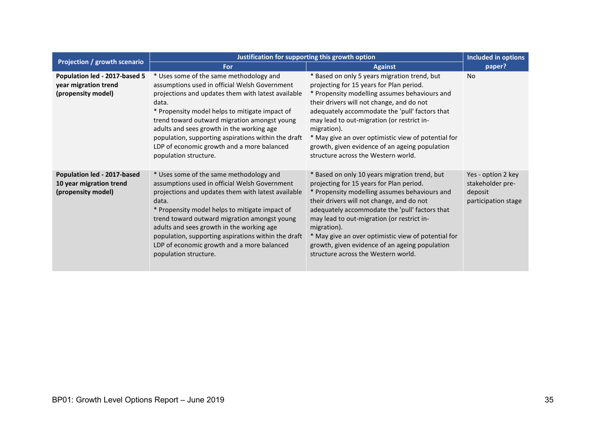| Projection / growth scenario                                                 | Justification for supporting this growth option                                                                                                                                                                                                                                                                                                                                                                                      |                                                                                                                                                                                                                                                                                                                                                                                                                                                        | Included in options                                                      |
|------------------------------------------------------------------------------|--------------------------------------------------------------------------------------------------------------------------------------------------------------------------------------------------------------------------------------------------------------------------------------------------------------------------------------------------------------------------------------------------------------------------------------|--------------------------------------------------------------------------------------------------------------------------------------------------------------------------------------------------------------------------------------------------------------------------------------------------------------------------------------------------------------------------------------------------------------------------------------------------------|--------------------------------------------------------------------------|
|                                                                              | For                                                                                                                                                                                                                                                                                                                                                                                                                                  | <b>Against</b>                                                                                                                                                                                                                                                                                                                                                                                                                                         | paper?                                                                   |
| Population led - 2017-based 5<br>year migration trend<br>(propensity model)  | * Uses some of the same methodology and<br>assumptions used in official Welsh Government<br>projections and updates them with latest available<br>data.<br>* Propensity model helps to mitigate impact of<br>trend toward outward migration amongst young<br>adults and sees growth in the working age<br>population, supporting aspirations within the draft<br>LDP of economic growth and a more balanced<br>population structure. | * Based on only 5 years migration trend, but<br>projecting for 15 years for Plan period.<br>* Propensity modelling assumes behaviours and<br>their drivers will not change, and do not<br>adequately accommodate the 'pull' factors that<br>may lead to out-migration (or restrict in-<br>migration).<br>* May give an over optimistic view of potential for<br>growth, given evidence of an ageing population<br>structure across the Western world.  | <b>No</b>                                                                |
| Population led - 2017-based<br>10 year migration trend<br>(propensity model) | * Uses some of the same methodology and<br>assumptions used in official Welsh Government<br>projections and updates them with latest available<br>data.<br>* Propensity model helps to mitigate impact of<br>trend toward outward migration amongst young<br>adults and sees growth in the working age<br>population, supporting aspirations within the draft<br>LDP of economic growth and a more balanced<br>population structure. | * Based on only 10 years migration trend, but<br>projecting for 15 years for Plan period.<br>* Propensity modelling assumes behaviours and<br>their drivers will not change, and do not<br>adequately accommodate the 'pull' factors that<br>may lead to out-migration (or restrict in-<br>migration).<br>* May give an over optimistic view of potential for<br>growth, given evidence of an ageing population<br>structure across the Western world. | Yes - option 2 key<br>stakeholder pre-<br>deposit<br>participation stage |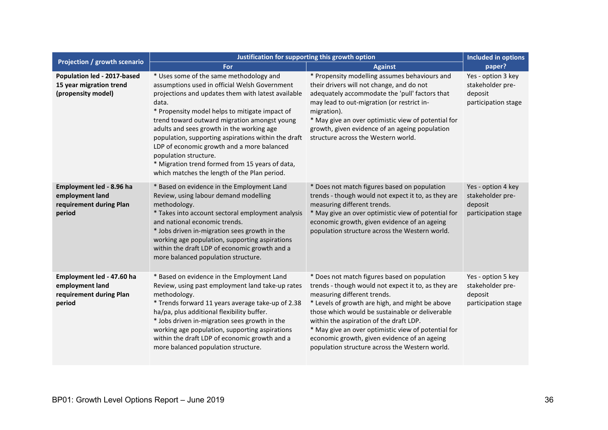|                                                                                   | Justification for supporting this growth option                                                                                                                                                                                                                                                                                                                                                                                                                                                                                         |                                                                                                                                                                                                                                                                                                                                                                                                                                              | <b>Included in options</b>                                               |
|-----------------------------------------------------------------------------------|-----------------------------------------------------------------------------------------------------------------------------------------------------------------------------------------------------------------------------------------------------------------------------------------------------------------------------------------------------------------------------------------------------------------------------------------------------------------------------------------------------------------------------------------|----------------------------------------------------------------------------------------------------------------------------------------------------------------------------------------------------------------------------------------------------------------------------------------------------------------------------------------------------------------------------------------------------------------------------------------------|--------------------------------------------------------------------------|
| Projection / growth scenario                                                      | For                                                                                                                                                                                                                                                                                                                                                                                                                                                                                                                                     | <b>Against</b>                                                                                                                                                                                                                                                                                                                                                                                                                               | paper?                                                                   |
| Population led - 2017-based<br>15 year migration trend<br>(propensity model)      | * Uses some of the same methodology and<br>assumptions used in official Welsh Government<br>projections and updates them with latest available<br>data.<br>* Propensity model helps to mitigate impact of<br>trend toward outward migration amongst young<br>adults and sees growth in the working age<br>population, supporting aspirations within the draft<br>LDP of economic growth and a more balanced<br>population structure.<br>* Migration trend formed from 15 years of data,<br>which matches the length of the Plan period. | * Propensity modelling assumes behaviours and<br>their drivers will not change, and do not<br>adequately accommodate the 'pull' factors that<br>may lead to out-migration (or restrict in-<br>migration).<br>* May give an over optimistic view of potential for<br>growth, given evidence of an ageing population<br>structure across the Western world.                                                                                    | Yes - option 3 key<br>stakeholder pre-<br>deposit<br>participation stage |
| Employment led - 8.96 ha<br>employment land<br>requirement during Plan<br>period  | * Based on evidence in the Employment Land<br>Review, using labour demand modelling<br>methodology.<br>* Takes into account sectoral employment analysis<br>and national economic trends.<br>* Jobs driven in-migration sees growth in the<br>working age population, supporting aspirations<br>within the draft LDP of economic growth and a<br>more balanced population structure.                                                                                                                                                    | * Does not match figures based on population<br>trends - though would not expect it to, as they are<br>measuring different trends.<br>* May give an over optimistic view of potential for<br>economic growth, given evidence of an ageing<br>population structure across the Western world.                                                                                                                                                  | Yes - option 4 key<br>stakeholder pre-<br>deposit<br>participation stage |
| Employment led - 47.60 ha<br>employment land<br>requirement during Plan<br>period | * Based on evidence in the Employment Land<br>Review, using past employment land take-up rates<br>methodology.<br>* Trends forward 11 years average take-up of 2.38<br>ha/pa, plus additional flexibility buffer.<br>* Jobs driven in-migration sees growth in the<br>working age population, supporting aspirations<br>within the draft LDP of economic growth and a<br>more balanced population structure.                                                                                                                            | * Does not match figures based on population<br>trends - though would not expect it to, as they are<br>measuring different trends.<br>* Levels of growth are high, and might be above<br>those which would be sustainable or deliverable<br>within the aspiration of the draft LDP.<br>* May give an over optimistic view of potential for<br>economic growth, given evidence of an ageing<br>population structure across the Western world. | Yes - option 5 key<br>stakeholder pre-<br>deposit<br>participation stage |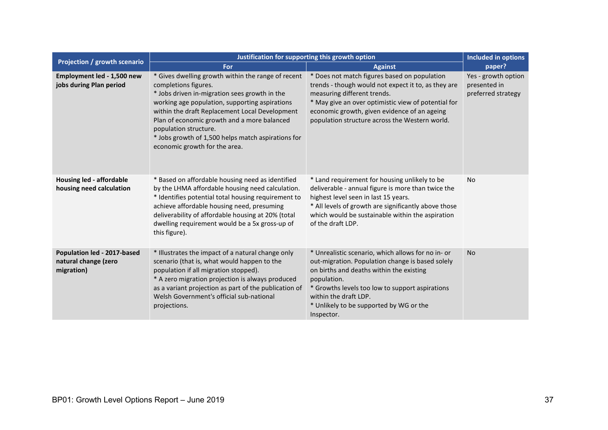|                                                                   | Justification for supporting this growth option                                                                                                                                                                                                                                                                                                                                                |                                                                                                                                                                                                                                                                                                        |                                                           |
|-------------------------------------------------------------------|------------------------------------------------------------------------------------------------------------------------------------------------------------------------------------------------------------------------------------------------------------------------------------------------------------------------------------------------------------------------------------------------|--------------------------------------------------------------------------------------------------------------------------------------------------------------------------------------------------------------------------------------------------------------------------------------------------------|-----------------------------------------------------------|
| Projection / growth scenario                                      | For                                                                                                                                                                                                                                                                                                                                                                                            | <b>Against</b>                                                                                                                                                                                                                                                                                         | paper?                                                    |
| Employment led - 1,500 new<br>jobs during Plan period             | * Gives dwelling growth within the range of recent<br>completions figures.<br>* Jobs driven in-migration sees growth in the<br>working age population, supporting aspirations<br>within the draft Replacement Local Development<br>Plan of economic growth and a more balanced<br>population structure.<br>* Jobs growth of 1,500 helps match aspirations for<br>economic growth for the area. | * Does not match figures based on population<br>trends - though would not expect it to, as they are<br>measuring different trends.<br>* May give an over optimistic view of potential for<br>economic growth, given evidence of an ageing<br>population structure across the Western world.            | Yes - growth option<br>presented in<br>preferred strategy |
| <b>Housing led - affordable</b><br>housing need calculation       | * Based on affordable housing need as identified<br>by the LHMA affordable housing need calculation.<br>* Identifies potential total housing requirement to<br>achieve affordable housing need, presuming<br>deliverability of affordable housing at 20% (total<br>dwelling requirement would be a 5x gross-up of<br>this figure).                                                             | * Land requirement for housing unlikely to be<br>deliverable - annual figure is more than twice the<br>highest level seen in last 15 years.<br>* All levels of growth are significantly above those<br>which would be sustainable within the aspiration<br>of the draft LDP.                           | <b>No</b>                                                 |
| Population led - 2017-based<br>natural change (zero<br>migration) | * Illustrates the impact of a natural change only<br>scenario (that is, what would happen to the<br>population if all migration stopped).<br>* A zero migration projection is always produced<br>as a variant projection as part of the publication of<br>Welsh Government's official sub-national<br>projections.                                                                             | * Unrealistic scenario, which allows for no in- or<br>out-migration. Population change is based solely<br>on births and deaths within the existing<br>population.<br>* Growths levels too low to support aspirations<br>within the draft LDP.<br>* Unlikely to be supported by WG or the<br>Inspector. | <b>No</b>                                                 |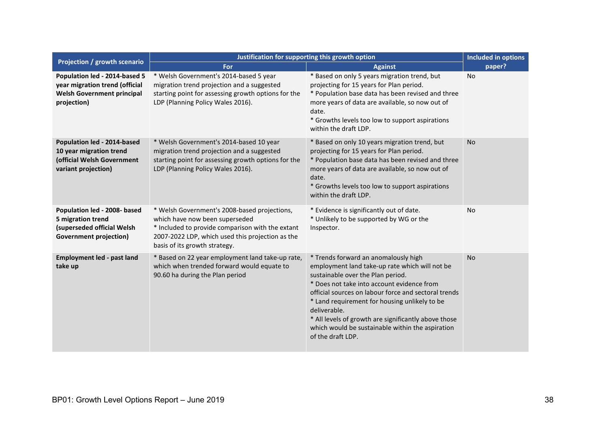|                                                                                                                     | Justification for supporting this growth option                                                                                                                                                                         |                                                                                                                                                                                                                                                                                                                                                                                                                                     | <b>Included in options</b> |
|---------------------------------------------------------------------------------------------------------------------|-------------------------------------------------------------------------------------------------------------------------------------------------------------------------------------------------------------------------|-------------------------------------------------------------------------------------------------------------------------------------------------------------------------------------------------------------------------------------------------------------------------------------------------------------------------------------------------------------------------------------------------------------------------------------|----------------------------|
| Projection / growth scenario                                                                                        | For                                                                                                                                                                                                                     | <b>Against</b>                                                                                                                                                                                                                                                                                                                                                                                                                      | paper?                     |
| Population led - 2014-based 5<br>year migration trend (official<br><b>Welsh Government principal</b><br>projection) | * Welsh Government's 2014-based 5 year<br>migration trend projection and a suggested<br>starting point for assessing growth options for the<br>LDP (Planning Policy Wales 2016).                                        | * Based on only 5 years migration trend, but<br>projecting for 15 years for Plan period.<br>* Population base data has been revised and three<br>more years of data are available, so now out of<br>date.<br>* Growths levels too low to support aspirations<br>within the draft LDP.                                                                                                                                               | No                         |
| Population led - 2014-based<br>10 year migration trend<br>(official Welsh Government<br>variant projection)         | * Welsh Government's 2014-based 10 year<br>migration trend projection and a suggested<br>starting point for assessing growth options for the<br>LDP (Planning Policy Wales 2016).                                       | * Based on only 10 years migration trend, but<br>projecting for 15 years for Plan period.<br>* Population base data has been revised and three<br>more years of data are available, so now out of<br>date.<br>* Growths levels too low to support aspirations<br>within the draft LDP.                                                                                                                                              | <b>No</b>                  |
| Population led - 2008- based<br>5 migration trend<br>(superseded official Welsh<br><b>Government projection)</b>    | * Welsh Government's 2008-based projections,<br>which have now been superseded<br>* Included to provide comparison with the extant<br>2007-2022 LDP, which used this projection as the<br>basis of its growth strategy. | * Evidence is significantly out of date.<br>* Unlikely to be supported by WG or the<br>Inspector.                                                                                                                                                                                                                                                                                                                                   | <b>No</b>                  |
| <b>Employment led - past land</b><br>take up                                                                        | * Based on 22 year employment land take-up rate,<br>which when trended forward would equate to<br>90.60 ha during the Plan period                                                                                       | * Trends forward an anomalously high<br>employment land take-up rate which will not be<br>sustainable over the Plan period.<br>* Does not take into account evidence from<br>official sources on labour force and sectoral trends<br>* Land requirement for housing unlikely to be<br>deliverable.<br>* All levels of growth are significantly above those<br>which would be sustainable within the aspiration<br>of the draft LDP. | <b>No</b>                  |